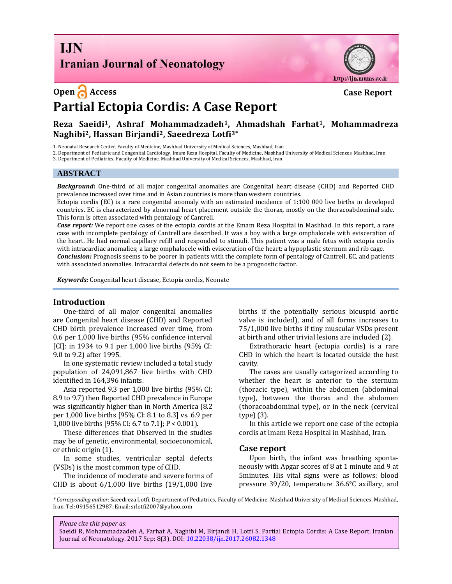## **I.IN Iranian Journal of Neonatology**



# **Partial Ectopia Cordis: A Case Report**

### **Reza Saeidi1, [Ashraf Mohammadzadeh](http://ijn.mums.ac.ir/?_action=article&au=42583&_au=Ashraf++Mohammadzadeh)1, Ahmadshah Farhat1, Mohammadreza Naghibi2, Hassan Birjandi2, Saeedreza Lotfi3\***

1. Neonatal Research Center, Faculty of Medicine, Mashhad University of Medical Sciences, Mashhad, Iran

2. Department of Pediatric and Congenital Cardiology, Imam Reza Hospital, Faculty of Medicine, Mashhad University of Medical Sciences, Mashhad, Iran

3. Department of Pediatrics, Faculty of Medicine, Mashhad University of Medical Sciences, Mashhad, Iran

#### **ABSTRACT**

*Background***:** One-third of all major congenital anomalies are Congenital heart disease (CHD) and Reported CHD prevalence increased over time and in Asian countries is more than western countries.

Ectopia cordis (EC) is a rare congenital anomaly with an estimated incidence of 1:100 000 live births in developed countries. EC is characterized by abnormal heart placement outside the thorax, mostly on the thoracoabdominal side. This form is often associated with pentalogy of Cantrell.

*Case report:* We report one cases of the ectopia cordis at the Emam Reza Hospital in Mashhad. In this report, a rare case with incomplete pentalogy of Cantrell are described. It was a boy with a large omphalocele with evisceration of the heart. He had normal capillary refill and responded to stimuli. This patient was a male fetus with ectopia cordis with intracardiac anomalies; a large omphalocele with evisceration of the heart; a hypoplastic sternum and rib cage. *Conclusion:* Prognosis seems to be poorer in patients with the complete form of pentalogy of Cantrell, EC, and patients with associated anomalies. Intracardial defects do not seem to be a prognostic factor.

*Keywords:* Congenital heart disease, Ectopia cordis, Neonate

#### **Introduction**

One-third of all major congenital anomalies are Congenital heart disease (CHD) and Reported CHD birth prevalence increased over time, from 0.6 per 1,000 live births (95% confidence interval [CI]: in 1934 to 9.1 per 1,000 live births (95% CI: 9.0 to 9.2) after 1995.

In one systematic review included a total study population of 24,091,867 live births with CHD identified in 164,396 infants.

Asia reported 9.3 per 1,000 live births (95% CI: 8.9 to 9.7) then Reported CHD prevalence in Europe was significantly higher than in North America (8.2 per 1,000 live births [95% CI: 8.1 to 8.3] vs. 6.9 per 1,000 live births [95% CI: 6.7 to 7.1]; P < 0.001).

These differences that Observed in the studies may be of genetic, environmental, socioeconomical, or ethnic origin (1).

In some studies, ventricular septal defects (VSDs) is the most common type of CHD.

The incidence of moderate and severe forms of CHD is about  $6/1,000$  live births  $(19/1,000)$  live births if the potentially serious bicuspid aortic valve is included), and of all forms increases to 75/1,000 live births if tiny muscular VSDs present at birth and other trivial lesions are included (2).

http://ijn.mums.ac.ir

Extrathoracic heart (ectopia cordis) is a rare CHD in which the heart is located outside the hest cavity.

The cases are usually categorized according to whether the heart is anterior to the sternum (thoracic type), within the abdomen (abdominal type), between the thorax and the abdomen (thoracoabdominal type), or in the neck (cervical type) (3).

In this article we report one case of the ectopia cordis at Imam Reza Hospital in Mashhad, Iran.

#### **Case report**

Upon birth, the infant was breathing spontaneously with Apgar scores of 8 at 1 minute and 9 at 5minutes. His vital signs were as follows: blood pressure 39/20, temperature 36.6°C axillary, and

*Please cite this paper as*:

Saeidi R, Mohammadzadeh A, Farhat A, Naghibi M, Birjandi H, Lotfi S. Partial Ectopia Cordis: A Case Report. Iranian Journal of Neonatology. 2017 Sep: 8(3). DOI[: 10.22038/ijn.2017.26082.1348](http://ijn.mums.ac.ir/article_9379.html)

*<sup>\*</sup> Corresponding author*: Saeedreza Lotfi, Department of Pediatrics, Faculty of Medicine, Mashhad University of Medical Sciences, Mashhad, Iran. Tel: 09156512987; Email: srlotfi2007@yahoo.com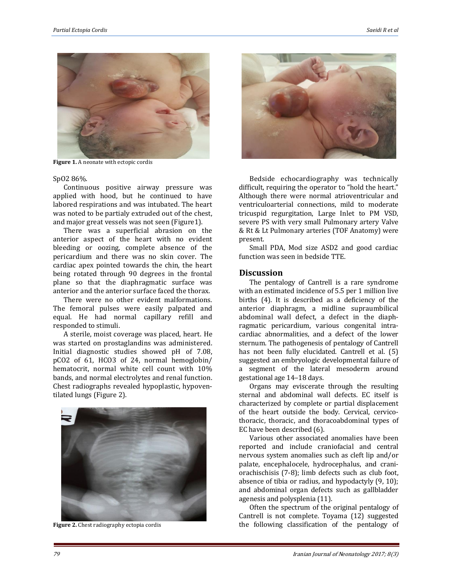

Figure 1. A neonate with ectopic cordis

#### SpO2 86%.

Continuous positive airway pressure was applied with hood, but he continued to have labored respirations and was intubated. The heart was noted to be partialy extruded out of the chest, and major great vessels was not seen (Figure1).

There was a superficial abrasion on the anterior aspect of the heart with no evident bleeding or oozing, complete absence of the pericardium and there was no skin cover. The cardiac apex pointed towards the chin, the heart being rotated through 90 degrees in the frontal plane so that the diaphragmatic surface was anterior and the anterior surface faced the thorax.

There were no other evident malformations. The femoral pulses were easily palpated and equal. He had normal capillary refill and responded to stimuli.

A sterile, moist coverage was placed, heart. He was started on prostaglandins was administered. Initial diagnostic studies showed pH of 7.08, pCO2 of 61, HCO3 of 24, normal hemoglobin/ hematocrit, normal white cell count with 10% bands, and normal electrolytes and renal function. Chest radiographs revealed hypoplastic, hypoventilated lungs (Figure 2).



**Figure 2.** Chest radiography ectopia cordis



Bedside echocardiography was technically difficult, requiring the operator to "hold the heart." Although there were normal atrioventricular and ventriculoarterial connections, mild to moderate tricuspid regurgitation, Large Inlet to PM VSD, severe PS with very small Pulmonary artery Valve & Rt & Lt Pulmonary arteries (TOF Anatomy) were present.

Small PDA, Mod size ASD2 and good cardiac function was seen in bedside TTE.

#### **Discussion**

The pentalogy of Cantrell is a rare syndrome with an estimated incidence of 5.5 per 1 million live births (4). It is described as a deficiency of the anterior diaphragm, a midline supraumbilical abdominal wall defect, a defect in the diaphragmatic pericardium, various congenital intracardiac abnormalities, and a defect of the lower sternum. The pathogenesis of pentalogy of Cantrell has not been fully elucidated. Cantrell et al. (5) suggested an embryologic developmental failure of a segment of the lateral mesoderm around gestational age 14–18 days.

Organs may eviscerate through the resulting sternal and abdominal wall defects. EC itself is characterized by complete or partial displacement of the heart outside the body. Cervical, cervicothoracic, thoracic, and thoracoabdominal types of EC have been described (6).

Various other associated anomalies have been reported and include craniofacial and central nervous system anomalies such as cleft lip and/or palate, encephalocele, hydrocephalus, and craniorachischisis (7-8); limb defects such as club foot, absence of tibia or radius, and hypodactyly (9, 10); and abdominal organ defects such as gallbladder agenesis and polysplenia (11).

Often the spectrum of the original pentalogy of Cantrell is not complete. Toyama (12) suggested the following classification of the pentalogy of